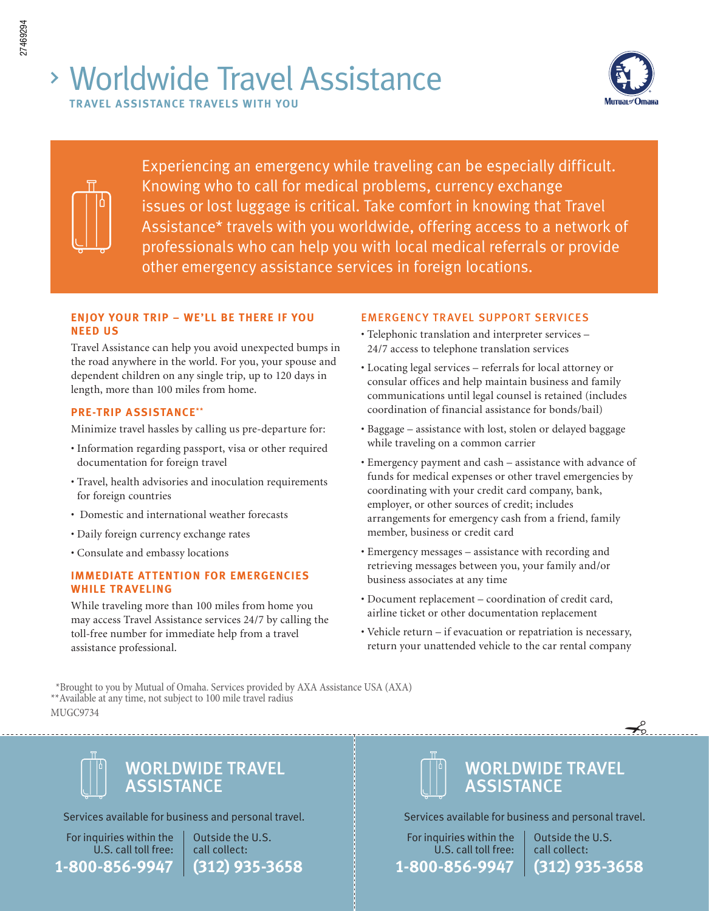# Worldwide Travel Assistance **TRAVEL ASSISTANCE TRAVELS WITH YOU**



Experiencing an emergency while traveling can be especially difficult. Knowing who to call for medical problems, currency exchange issues or lost luggage is critical. Take comfort in knowing that Travel Assistance\* travels with you worldwide, offering access to a network of professionals who can help you with local medical referrals or provide other emergency assistance services in foreign locations.

### **ENJOY YOUR TRIP – WE'LL BE THERE IF YOU NEED US**

Travel Assistance can help you avoid unexpected bumps in the road anywhere in the world. For you, your spouse and dependent children on any single trip, up to 120 days in length, more than 100 miles from home.

### **PRE-TRIP ASSISTANCE\*\***

Minimize travel hassles by calling us pre-departure for:

- Information regarding passport, visa or other required documentation for foreign travel
- Travel, health advisories and inoculation requirements for foreign countries
- Domestic and international weather forecasts
- Daily foreign currency exchange rates
- Consulate and embassy locations

### **IMMEDIATE ATTENTION FOR EMERGENCIES WHILE TRAVELING**

While traveling more than 100 miles from home you may access Travel Assistance services 24/7 by calling the toll-free number for immediate help from a travel assistance professional.

### EMERGENCY TRAVEL SUPPORT SERVICES

- Telephonic translation and interpreter services 24/7 access to telephone translation services
- Locating legal services referrals for local attorney or consular offices and help maintain business and family communications until legal counsel is retained (includes coordination of financial assistance for bonds/bail)
- Baggage assistance with lost, stolen or delayed baggage while traveling on a common carrier
- Emergency payment and cash assistance with advance of funds for medical expenses or other travel emergencies by coordinating with your credit card company, bank, employer, or other sources of credit; includes arrangements for emergency cash from a friend, family member, business or credit card
- Emergency messages assistance with recording and retrieving messages between you, your family and/or business associates at any time
- Document replacement coordination of credit card, airline ticket or other documentation replacement
- Vehicle return if evacuation or repatriation is necessary, return your unattended vehicle to the car rental company

 \*Brought to you by Mutual of Omaha. Services provided by AXA Assistance USA (AXA) \*\*Available at any time, not subject to 100 mile travel radius MUGC9734



Services available for business and personal travel.

For inquiries within the U.S. call toll free: **1-800-856-9947**

Outside the U.S. call collect: **(312) 935-3658**

# WORLDWIDE TRAVEL **ASSISTANCE**

Services available for business and personal travel.

For inquiries within the U.S. call toll free: **1-800-856-9947**

Outside the U.S. call collect: **(312) 935-3658**

 $\prec$